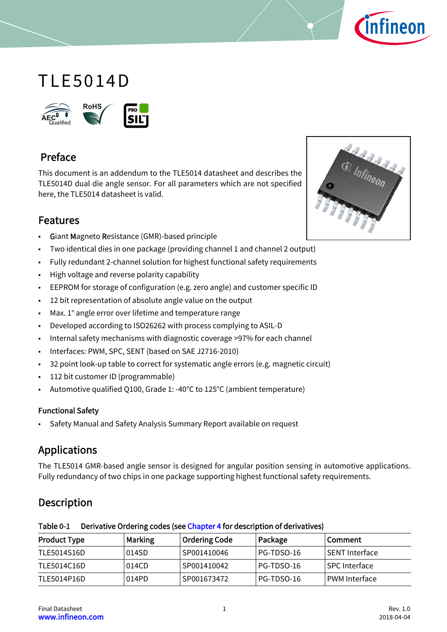

# TLE5014D



# Preface

This document is an addendum to the TLE5014 datasheet and describes the TLE5014D dual die angle sensor. For all parameters which are not specified here, the TLE5014 datasheet is valid.



# Features

- Giant Magneto Resistance (GMR)-based principle
- Two identical dies in one package (providing channel 1 and channel 2 output)
- Fully redundant 2-channel solution for highest functional safety requirements
- High voltage and reverse polarity capability
- EEPROM for storage of configuration (e.g. zero angle) and customer specific ID
- 12 bit representation of absolute angle value on the output
- Max. 1° angle error over lifetime and temperature range
- Developed according to ISO26262 with process complying to ASIL-D
- Internal safety mechanisms with diagnostic coverage >97% for each channel
- Interfaces: PWM, SPC, SENT (based on SAE J2716-2010)
- 32 point look-up table to correct for systematic angle errors (e.g. magnetic circuit)
- 112 bit customer ID (programmable)
- Automotive qualified Q100, Grade 1: -40°C to 125°C (ambient temperature)

#### Functional Safety

• Safety Manual and Safety Analysis Summary Report available on request

# Applications

The TLE5014 GMR-based angle sensor is designed for angular position sensing in automotive applications. Fully redundancy of two chips in one package supporting highest functional safety requirements.

# Description

| <b>Product Type</b> | <b>Marking</b> | <b>Ordering Code</b> | Package    | Comment        |
|---------------------|----------------|----------------------|------------|----------------|
| TLE5014S16D         | 014SD          | SP001410046          | PG-TDSO-16 | SENT Interface |
| TLE5014C16D         | 014CD          | SP001410042          | PG-TDSO-16 | SPC Interface  |
| TLE5014P16D         | 014PD          | SP001673472          | PG-TDSO-16 | PWM Interface  |

#### <span id="page-0-0"></span>Table 0-1 Derivative Ordering codes (see [Chapter 4](#page-5-0) for description of derivatives)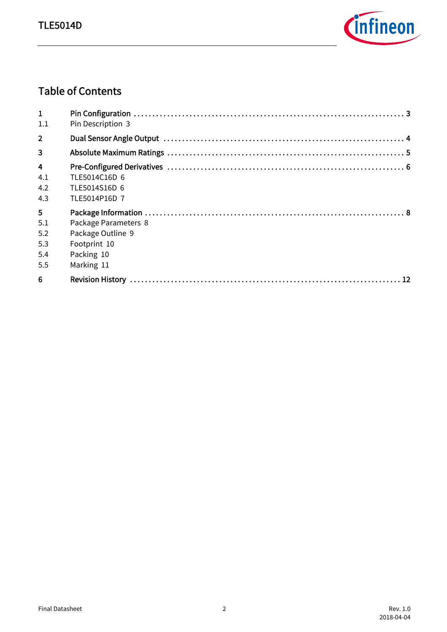

# Table of Contents

| $\mathbf{1}$<br>1.1                               | Pin Description 3                                                                     |  |
|---------------------------------------------------|---------------------------------------------------------------------------------------|--|
| $\overline{2}$                                    |                                                                                       |  |
| $\overline{\mathbf{3}}$                           |                                                                                       |  |
| $\overline{\mathbf{4}}$<br>4.1<br>4.2<br>4.3      | TLE5014C16D 6<br>TLE5014S16D 6<br>TLE5014P16D 7                                       |  |
| 5 <sub>1</sub><br>5.1<br>5.2<br>5.3<br>5.4<br>5.5 | Package Parameters 8<br>Package Outline 9<br>Footprint 10<br>Packing 10<br>Marking 11 |  |
| 6                                                 |                                                                                       |  |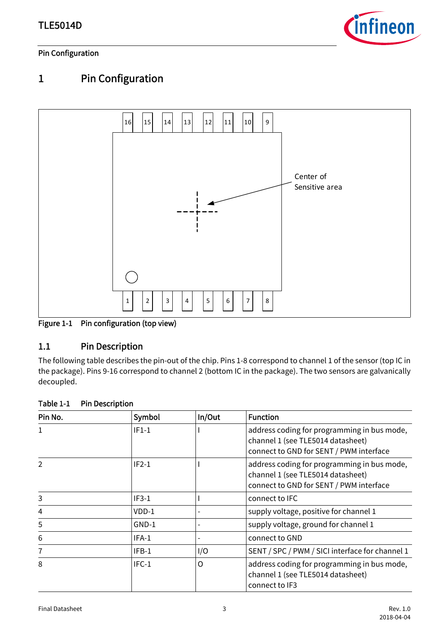

### Pin Configuration

# <span id="page-2-0"></span>1 Pin Configuration



Figure 1-1 Pin configuration (top view)

### <span id="page-2-1"></span>1.1 Pin Description

The following table describes the pin-out of the chip. Pins 1-8 correspond to channel 1 of the sensor (top IC in the package). Pins 9-16 correspond to channel 2 (bottom IC in the package). The two sensors are galvanically decoupled.

| Pin No. | Symbol  | In/Out | <b>Function</b>                                                                                                             |
|---------|---------|--------|-----------------------------------------------------------------------------------------------------------------------------|
| 1       | $IF1-1$ |        | address coding for programming in bus mode,<br>channel 1 (see TLE5014 datasheet)<br>connect to GND for SENT / PWM interface |
| 2       | $IF2-1$ |        | address coding for programming in bus mode,<br>channel 1 (see TLE5014 datasheet)<br>connect to GND for SENT / PWM interface |
| 3       | $IF3-1$ |        | connect to IFC                                                                                                              |
| 4       | VDD-1   |        | supply voltage, positive for channel 1                                                                                      |
| 5       | $GND-1$ |        | supply voltage, ground for channel 1                                                                                        |
| 6       | IFA-1   |        | connect to GND                                                                                                              |
| 7       | $IFB-1$ | I/O    | SENT / SPC / PWM / SICI interface for channel 1                                                                             |
| 8       | $IFC-1$ | O      | address coding for programming in bus mode,<br>channel 1 (see TLE5014 datasheet)<br>connect to IF3                          |

#### Table 1-1 Pin Description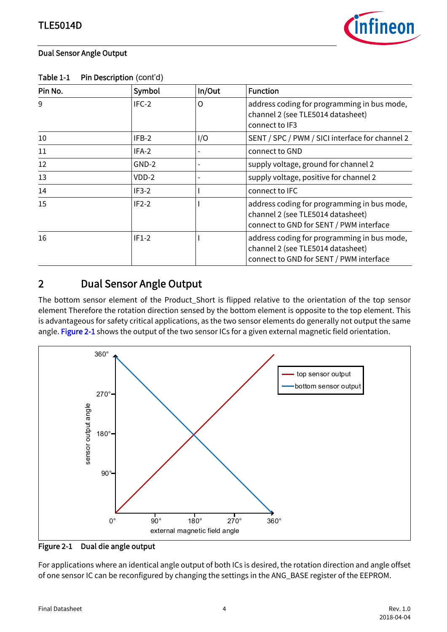

#### Dual Sensor Angle Output

| Pin No. | Symbol  | In/Out | <b>Function</b>                                                                                                             |
|---------|---------|--------|-----------------------------------------------------------------------------------------------------------------------------|
| 9       | IFC-2   | O      | address coding for programming in bus mode,<br>channel 2 (see TLE5014 datasheet)<br>connect to IF3                          |
| 10      | IFB-2   | I/O    | SENT / SPC / PWM / SICI interface for channel 2                                                                             |
| 11      | IFA-2   |        | connect to GND                                                                                                              |
| 12      | GND-2   |        | supply voltage, ground for channel 2                                                                                        |
| 13      | VDD-2   |        | supply voltage, positive for channel 2                                                                                      |
| 14      | $IF3-2$ |        | connect to IFC                                                                                                              |
| 15      | $IF2-2$ |        | address coding for programming in bus mode,<br>channel 2 (see TLE5014 datasheet)<br>connect to GND for SENT / PWM interface |
| 16      | $IF1-2$ |        | address coding for programming in bus mode,<br>channel 2 (see TLE5014 datasheet)<br>connect to GND for SENT / PWM interface |

Table 1-1 Pin Description (cont'd)

# <span id="page-3-0"></span>2 Dual Sensor Angle Output

The bottom sensor element of the Product\_Short is flipped relative to the orientation of the top sensor element Therefore the rotation direction sensed by the bottom element is opposite to the top element. This is advantageous for safety critical applications, as the two sensor elements do generally not output the same angle. [Figure 2-1](#page-3-1) shows the output of the two sensor ICs for a given external magnetic field orientation.



<span id="page-3-1"></span>Figure 2-1 Dual die angle output

For applications where an identical angle output of both ICs is desired, the rotation direction and angle offset of one sensor IC can be reconfigured by changing the settings in the ANG\_BASE register of the EEPROM.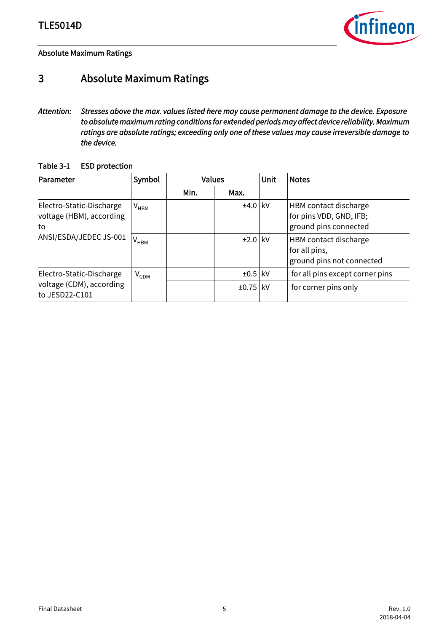

Absolute Maximum Ratings

# <span id="page-4-0"></span>3 Absolute Maximum Ratings

*Attention: Stresses above the max. values listed here may cause permanent damage to the device. Exposure to absolute maximum rating conditions for extended periods may affect device reliability. Maximum ratings are absolute ratings; exceeding only one of these values may cause irreversible damage to the device.*

#### Table 3-1 ESD protection

| Parameter                                                                            | Symbol                      |      | <b>Values</b> |     | <b>Notes</b>                                                              |
|--------------------------------------------------------------------------------------|-----------------------------|------|---------------|-----|---------------------------------------------------------------------------|
|                                                                                      |                             | Min. | Max.          |     |                                                                           |
| Electro-Static-Discharge<br>voltage (HBM), according<br>to<br>ANSI/ESDA/JEDEC JS-001 | $\mathsf{V}_{\mathsf{HBM}}$ |      | $±4.0$ kV     |     | HBM contact discharge<br>for pins VDD, GND, IFB;<br>ground pins connected |
|                                                                                      | $V_{HBM}$                   |      | $\pm 2.0$ kV  |     | HBM contact discharge<br>for all pins,<br>ground pins not connected       |
| Electro-Static-Discharge                                                             | $V_{CDM}$                   |      | $\pm 0.5$ kV  |     | for all pins except corner pins                                           |
| voltage (CDM), according<br>to JESD22-C101                                           |                             |      | ±0.75         | kV. | for corner pins only                                                      |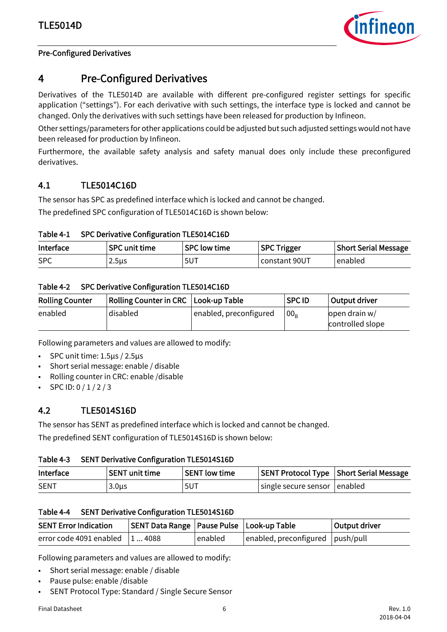

#### Pre-Configured Derivatives

# <span id="page-5-1"></span><span id="page-5-0"></span>4 Pre-Configured Derivatives

Derivatives of the TLE5014D are available with different pre-configured register settings for specific application ("settings"). For each derivative with such settings, the interface type is locked and cannot be changed. Only the derivatives with such settings have been released for production by Infineon.

Other settings/parameters for other applications could be adjusted but such adjusted settings would not have been released for production by Infineon.

Furthermore, the available safety analysis and safety manual does only include these preconfigured derivatives.

#### <span id="page-5-2"></span>4.1 TLE5014C16D

The sensor has SPC as predefined interface which is locked and cannot be changed.

The predefined SPC configuration of TLE5014C16D is shown below:

Table 4-1 SPC Derivative Configuration TLE5014C16D

| Interface  | <b>SPC unit time</b> | <b>SPC low time</b> | <b>SPC Trigger</b> | <b>Short Serial Message</b> |
|------------|----------------------|---------------------|--------------------|-----------------------------|
| <b>SPC</b> | 2.5 <sub>µ</sub>     | 5UT                 | constant 90UT      | enabled                     |

Table 4-2 SPC Derivative Configuration TLE5014C16D

| <b>Rolling Counter</b> | Rolling Counter in CRC   Look-up Table |                        | <b>SPC ID</b>   | Output driver                     |
|------------------------|----------------------------------------|------------------------|-----------------|-----------------------------------|
| enabled                | disabled                               | enabled, preconfigured | 00 <sub>R</sub> | open drain w/<br>controlled slope |

Following parameters and values are allowed to modify:

- SPC unit time: 1.5µs / 2.5µs
- Short serial message: enable / disable
- Rolling counter in CRC: enable /disable
- SPC ID: 0 / 1 / 2 / 3

#### <span id="page-5-3"></span>4.2 TLE5014S16D

The sensor has SENT as predefined interface which is locked and cannot be changed.

The predefined SENT configuration of TLE5014S16D is shown below:

#### Table 4-3 SENT Derivative Configuration TLE5014S16D

| Interface   | <b>SENT unit time</b> | <b>SENT low time</b> |                              | SENT Protocol Type Short Serial Message |
|-------------|-----------------------|----------------------|------------------------------|-----------------------------------------|
| <b>SENT</b> | 3.0µs                 | 5UT                  | single secure sensor enabled |                                         |

#### Table 4-4 SENT Derivative Configuration TLE5014S16D

| <b>SENT Error Indication</b> | SENT Data Range   Pause Pulse   Look-up Table |         |                                          | Output driver |
|------------------------------|-----------------------------------------------|---------|------------------------------------------|---------------|
| error code 4091 enabled      | 14088                                         | enabled | $ $ enabled, preconfigured $ $ push/pull |               |

Following parameters and values are allowed to modify:

- Short serial message: enable / disable
- Pause pulse: enable /disable
- SENT Protocol Type: Standard / Single Secure Sensor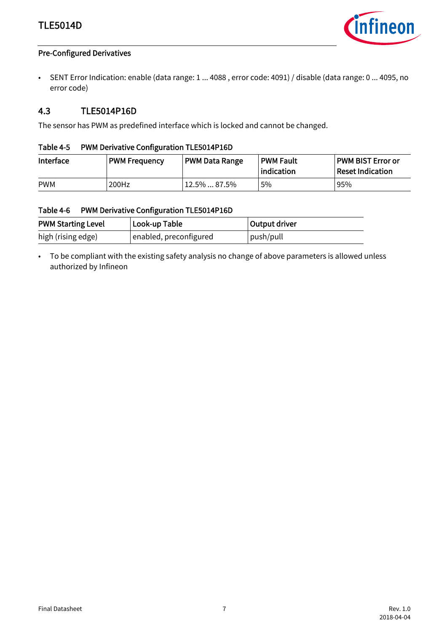## TLE5014D



#### Pre-Configured Derivatives

• SENT Error Indication: enable (data range: 1 ... 4088 , error code: 4091) / disable (data range: 0 ... 4095, no error code)

#### <span id="page-6-0"></span>4.3 TLE5014P16D

The sensor has PWM as predefined interface which is locked and cannot be changed.

#### Table 4-5 PWM Derivative Configuration TLE5014P16D

| Interface  | <b>PWM Frequency</b> | <b>PWM Data Range</b> | <b>PWM Fault</b><br>indication | <b>PWM BIST Error or</b><br><b>Reset Indication</b> |  |
|------------|----------------------|-----------------------|--------------------------------|-----------------------------------------------------|--|
| <b>PWM</b> | 200Hz                | $12.5\%$ 87.5%        | 5%                             | 95%                                                 |  |

#### Table 4-6 PWM Derivative Configuration TLE5014P16D

| <b>PWM Starting Level</b><br>Look-up Table |                        | Output driver |
|--------------------------------------------|------------------------|---------------|
| high (rising edge)                         | enabled, preconfigured | push/pull     |

• To be compliant with the existing safety analysis no change of above parameters is allowed unless authorized by Infineon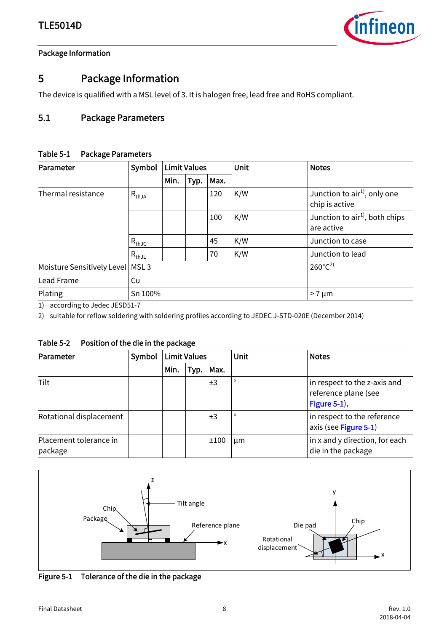<span id="page-7-2"></span>

# <span id="page-7-0"></span>5 Package Information

The device is qualified with a MSL level of 3. It is halogen free, lead free and RoHS compliant.

### <span id="page-7-1"></span>5.1 Package Parameters

#### Table 5-1 Package Parameters

| Parameter                  | Symbol           | <b>Limit Values</b> |      | Unit | <b>Notes</b> |                                                          |
|----------------------------|------------------|---------------------|------|------|--------------|----------------------------------------------------------|
|                            |                  | Min.                | Typ. | Max. |              |                                                          |
| Thermal resistance         | $R_{thJA}$       |                     |      | 120  | K/W          | Junction to $air1$ , only one<br>chip is active          |
|                            |                  |                     |      | 100  | K/W          | Junction to air <sup>1)</sup> , both chips<br>are active |
|                            | $R_{thJC}$       |                     |      | 45   | K/W          | Junction to case                                         |
|                            | $R_{thJL}$       |                     |      | 70   | K/W          | Junction to lead                                         |
| Moisture Sensitively Level | MSL <sub>3</sub> |                     |      |      |              | $260^{\circ}C^{2}$                                       |
| Lead Frame                 | Cu               |                     |      |      |              |                                                          |
| Plating                    | Sn 100%          |                     |      |      |              | $>7 \mu m$                                               |

1) according to Jedec JESD51-7

2) suitable for reflow soldering with soldering profiles according to JEDEC J-STD-020E (December 2014)

#### Table 5-2 Position of the die in the package

| Parameter                         | Symbol | <b>Limit Values</b> |      |      | Unit    | <b>Notes</b>                                                         |
|-----------------------------------|--------|---------------------|------|------|---------|----------------------------------------------------------------------|
|                                   |        | Min.                | Typ. | Max. |         |                                                                      |
| Tilt                              |        |                     |      | ±3   | $\circ$ | in respect to the z-axis and<br>reference plane (see<br>Figure 5-1), |
| Rotational displacement           |        |                     |      | ±3   | $\circ$ | in respect to the reference<br>axis (see Figure 5-1)                 |
| Placement tolerance in<br>package |        |                     |      | ±100 | um      | in x and y direction, for each<br>die in the package                 |



<span id="page-7-3"></span>Figure 5-1 Tolerance of the die in the package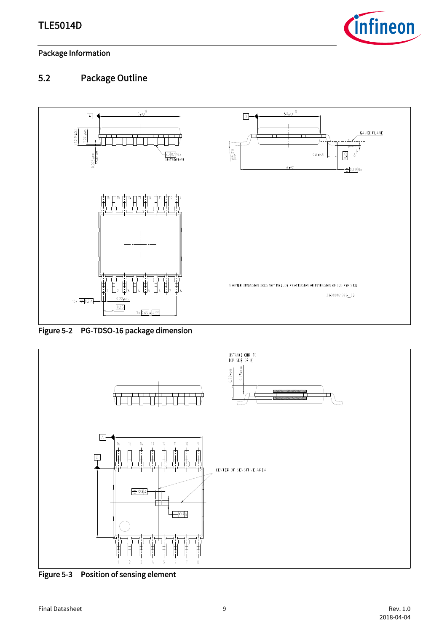

## <span id="page-8-0"></span>5.2 Package Outline



Figure 5-2 PG-TDSO-16 package dimension



Figure 5-3 Position of sensing element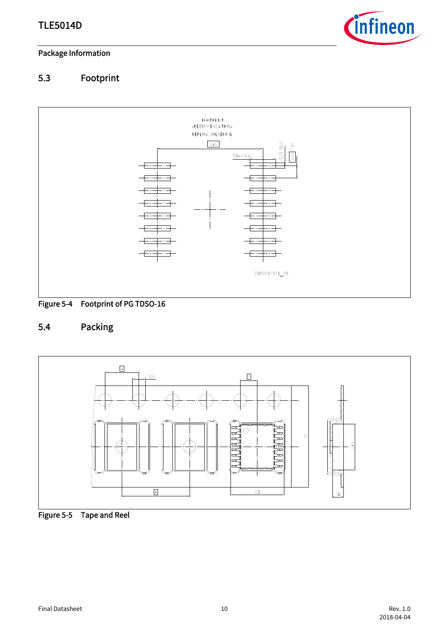

# <span id="page-9-0"></span>5.3 Footprint



# <span id="page-9-1"></span>5.4 Packing



Figure 5-5 Tape and Reel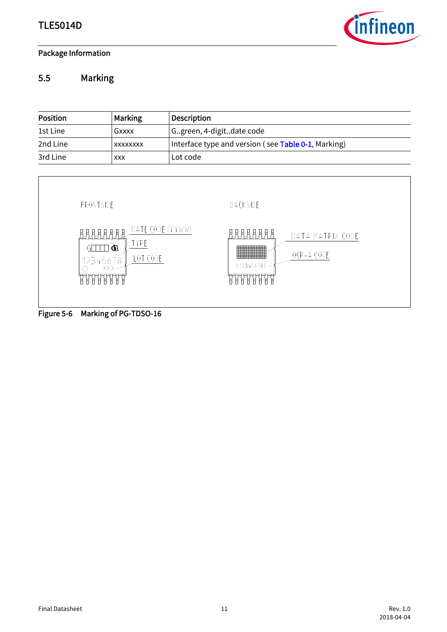

## <span id="page-10-0"></span>5.5 Marking



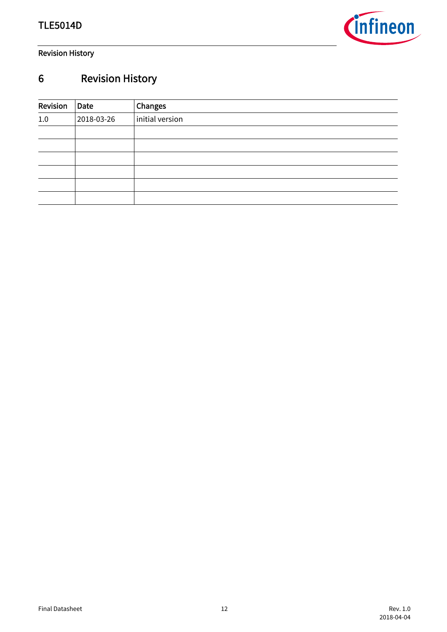

Revision History

# <span id="page-11-0"></span>6 Revision History

| Revision | Date       | Changes         |  |  |  |  |
|----------|------------|-----------------|--|--|--|--|
| 1.0      | 2018-03-26 | initial version |  |  |  |  |
|          |            |                 |  |  |  |  |
|          |            |                 |  |  |  |  |
|          |            |                 |  |  |  |  |
|          |            |                 |  |  |  |  |
|          |            |                 |  |  |  |  |
|          |            |                 |  |  |  |  |